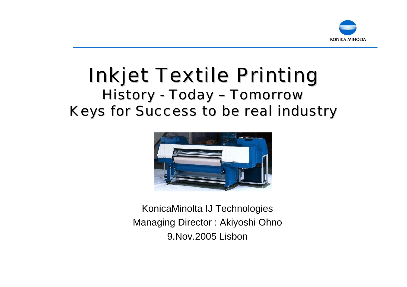

#### **Inkjet Textile Printing** History -- Today – Tomorrow Keys for Success to be real industry



KonicaMinolta IJ Technologies Managing Director : Akiyoshi Ohno 9.Nov.2005 Lisbon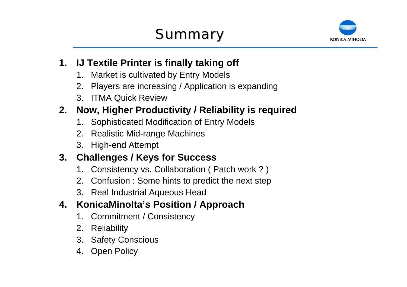

#### **1. IJ Textile Printer is finally taking off**

- 1. Market is cultivated by Entry Models
- 2. Players are increasing / Application is expanding
- 3. ITMA Quick Review

### **2. Now, Higher Productivity / Reliability is required**

- 1. Sophisticated Modification of Entry Models
- 2. Realistic Mid-range Machines
- 3. High-end Attempt

#### **3. Challenges / Keys for Success**

- 1. Consistency vs. Collaboration ( Patch work ? )
- 2. Confusion : Some hints to predict the next step
- 3. Real Industrial Aqueous Head

#### **4. KonicaMinolta's Position / Approach**

- 1. Commitment / Consistency
- 2. Reliability
- 3. Safety Conscious
- 4. Open Policy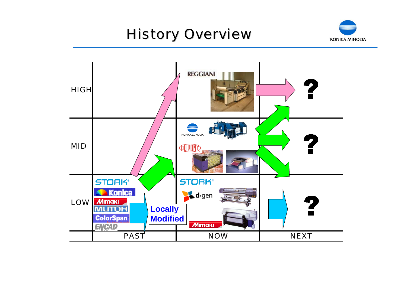## **History Overview**



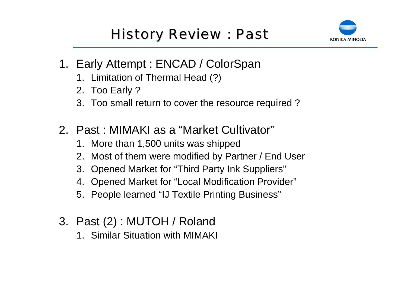## **History Review : Past**



- 1. Early Attempt : ENCAD / ColorSpan
	- 1. Limitation of Thermal Head (?)
	- 2. Too Early ?
	- 3. Too small return to cover the resource required ?
- 2. Past : MIMAKI as a "Market Cultivator"
	- 1. More than 1,500 units was shipped
	- 2. Most of them were modified by Partner / End User
	- 3. Opened Market for "Third Party Ink Suppliers"
	- 4. Opened Market for "Local Modification Provider"
	- 5. People learned "IJ Textile Printing Business"
- 3. Past (2) : MUTOH / Roland
	- 1. Similar Situation with MIMAKI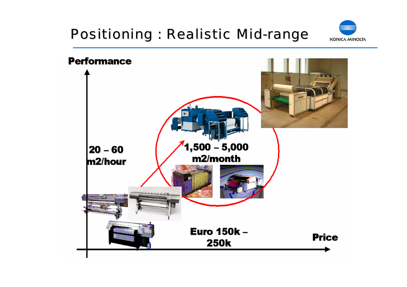## Positioning : Realistic Mid-range



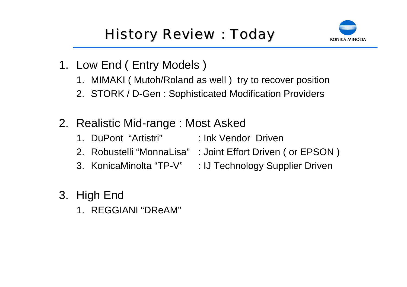

- 1. Low End ( Entry Models )
	- 1. MIMAKI ( Mutoh/Roland as well ) try to recover position
	- 2. STORK / D-Gen : Sophisticated Modification Providers
- 2. Realistic Mid-range : Most Asked
	- 1. DuPont "Artistri" : Ink Vendor Driven
	- 2. Robustelli "MonnaLisa" : Joint Effort Driven ( or EPSON )
	- 3. KonicaMinolta "TP-V" : IJ Technology Supplier Driven
- 3. High End
	- 1. REGGIANI "DReAM"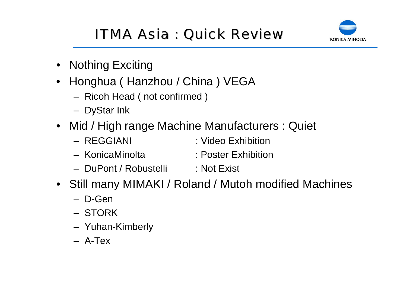## ITMA Asia : Quick Review



- Nothing Exciting
- $\bullet$  Honghua ( Hanzhou / China ) VEGA
	- Ricoh Head ( not confirmed )
	- DyStar Ink
- Mid / High range Machine Manufacturers : Quiet
	- REGGIANI : Video Exhibition
	- KonicaMinolta : Poster Exhibition
	- DuPont / Robustelli : Not Exist
- Still many MIMAKI / Roland / Mutoh modified Machines
	- D-Gen
	- STORK
	- Yuhan-Kimberly
	- A-Tex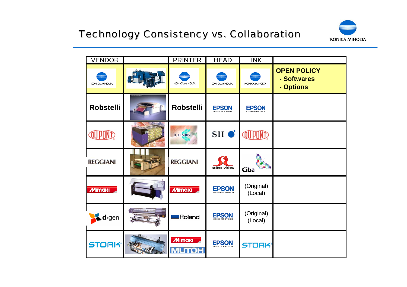

| <b>VENDOR</b>                 | <b>PRINTER</b>                | <b>HEAD</b>      | $\overline{\text{INK}}$ |                                                |
|-------------------------------|-------------------------------|------------------|-------------------------|------------------------------------------------|
| KONICA MINOLTA                | KONICA MINOLTA                | KONICA MINOLTA   | KONICA MINOLTA          | <b>OPEN POLICY</b><br>- Softwares<br>- Options |
| <b>Robstelli</b>              | <b>Robstelli</b>              | <b>EPSON</b>     | <b>EPSON</b>            |                                                |
| QU PUN                        | <b>ICHINOSE</b>               | SII <sup>o</sup> | <b>QU PON</b>           |                                                |
| <b>REGGIANI</b>               | <b>REGGIANI</b>               | scitex vision    | Ciba                    |                                                |
| <b>MIMAKI</b>                 | <b>MIMAKI</b>                 | <b>EPSON</b>     | (Original)<br>(Local)   |                                                |
| $\triangle$ d <sub>·gen</sub> | <b>Roland</b>                 | <b>EPSON</b>     | (Original)<br>(Local)   |                                                |
| <b>STORK®</b>                 | <b>MIMAKI</b><br><b>MUTOH</b> | <b>EPSON</b>     | <b>STORK®</b>           |                                                |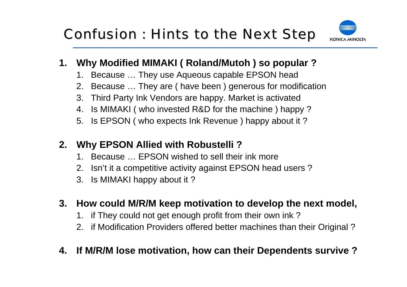

#### **1. Why Modified MIMAKI ( Roland/Mutoh ) so popular ?**

- 1. Because … They use Aqueous capable EPSON head
- 2. Because … They are ( have been ) generous for modification
- 3. Third Party Ink Vendors are happy. Market is activated
- 4. Is MIMAKI ( who invested R&D for the machine ) happy ?
- 5. Is EPSON ( who expects Ink Revenue ) happy about it ?

#### **2. Why EPSON Allied with Robustelli ?**

- 1. Because … EPSON wished to sell their ink more
- 2. Isn't it a competitive activity against EPSON head users ?
- 3. Is MIMAKI happy about it ?

#### **3. How could M/R/M keep motivation to develop the next model,**

- 1. if They could not get enough profit from their own ink ?
- 2. if Modification Providers offered better machines than their Original ?

#### **4. If M/R/M lose motivation, how can their Dependents survive ?**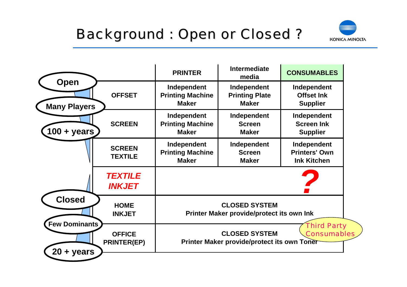

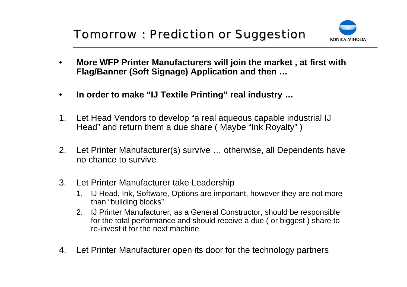

- • **More WFP Printer Manufacturers will join the market , at first with Flag/Banner (Soft Signage) Application and then …**
- $\bullet$ **In order to make "IJ Textile Printing" real industry …**
- 1. Let Head Vendors to develop "a real aqueous capable industrial IJ Head" and return them a due share ( Maybe "Ink Royalty" )
- 2. Let Printer Manufacturer(s) survive … otherwise, all Dependents have no chance to survive
- 3. Let Printer Manufacturer take Leadership
	- 1. IJ Head, Ink, Software, Options are important, however they are not more than "building blocks"
	- 2. IJ Printer Manufacturer, as a General Constructor, should be responsible for the total performance and should receive a due ( or biggest ) share to re-invest it for the next machine
- 4. Let Printer Manufacturer open its door for the technology partners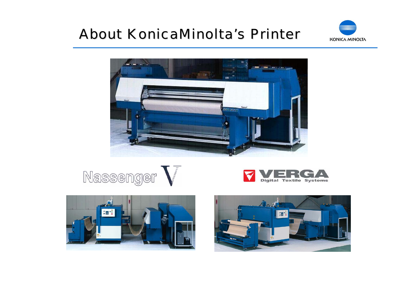### About KonicaMinolta's Printer











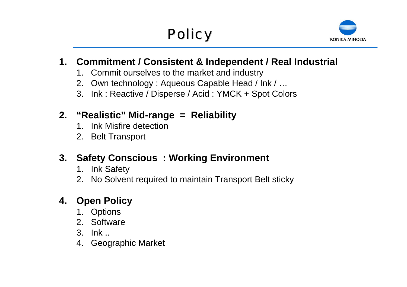

#### **1. Commitment / Consistent & Independent / Real Industrial**

- 1. Commit ourselves to the market and industry
- 2. Own technology : Aqueous Capable Head / Ink / …
- 3. Ink : Reactive / Disperse / Acid : YMCK + Spot Colors

#### **2. "Realistic" Mid-range = Reliability**

- 1. Ink Misfire detection
- 2. Belt Transport

### **3. Safety Conscious : Working Environment**

- 1. Ink Safety
- 2. No Solvent required to maintain Transport Belt sticky

### **4. Open Policy**

- 1. Options
- 2. Software
- 3. Ink ..
- 4. Geographic Market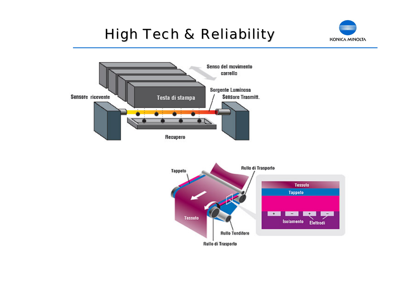## **High Tech & Reliability**





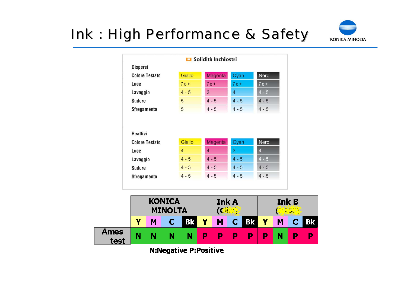## **Ink : High Performance & Safety**



|                                                                                              |                | Solidità Inchiostri |                |                         |
|----------------------------------------------------------------------------------------------|----------------|---------------------|----------------|-------------------------|
| <b>Dispersi</b>                                                                              |                |                     |                |                         |
| <b>Colore Testato</b>                                                                        | Giallo         | <b>Magenta</b>      | Cyan           | Nero                    |
| Luce                                                                                         | $70+$          | $70+$               | $70+$          | $70+$                   |
| Lavaggio                                                                                     | $4 - 5$        | 3                   | $\overline{4}$ | $4 - 5$                 |
| <b>Sudore</b>                                                                                | 5              | $4 - 5$             | $4 - 5$        | $4 - 5$                 |
|                                                                                              |                | $4 - 5$             | $4 - 5$        | $4 - 5$                 |
|                                                                                              | 5              |                     |                |                         |
|                                                                                              |                |                     |                |                         |
|                                                                                              | Giallo         | <b>Magenta</b>      | Cyan           | Nero                    |
|                                                                                              | $\overline{4}$ | $\overline{4}$      | 3              | $\overline{\mathbf{4}}$ |
|                                                                                              | $4 - 5$        | $4 - 5$             | $4 - 5$        | $4 - 5$                 |
| <b>Sfregamento</b><br>Reattivi<br><b>Colore Testato</b><br>Luce<br>Lavaggio<br><b>Sudore</b> | $4 - 5$        | $4 - 5$             | $4 - 5$        | $4 - 5$                 |



**N:Negative P:Positive**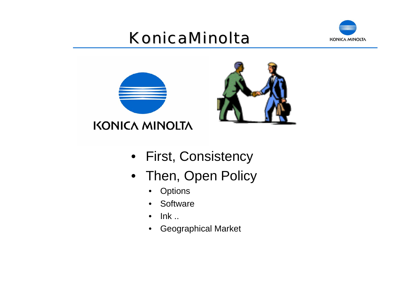# KonicaMinolta







- First, Consistency
- Then, Open Policy
	- Options
	- $\bullet$ **Software**
	- $\bullet$ Ink ..
	- Geographical Market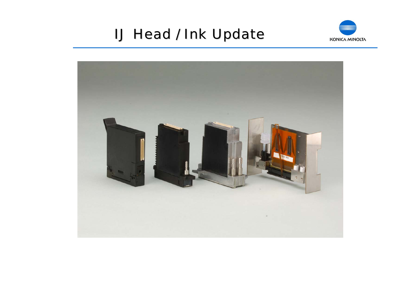### **IJ Head / Ink Update**



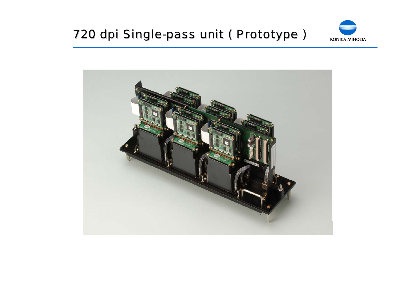### 720 dpi Single-pass unit ( Prototype )